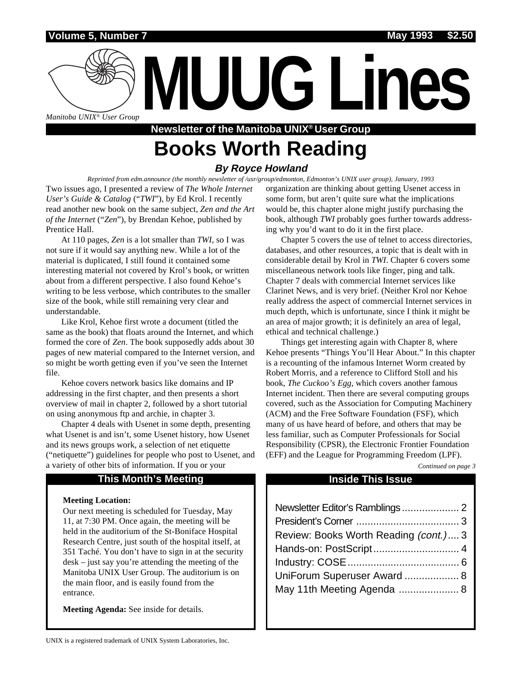### **Volume 5, Number 7 May 1993 \$2.50**

**MUUG Lines** *Manitoba UNIX® User Group*

# **Newsletter of the Manitoba UNIX® User Group Books Worth Reading**

## **By Royce Howland**

*Reprinted from edm.announce (the monthly newsletter of /usr/group/edmonton, Edmonton's UNIX user group), January, 1993* Two issues ago, I presented a review of *The Whole Internet User's Guide & Catalog* ("*TWI*"), by Ed Krol. I recently read another new book on the same subject, *Zen and the Art of the Internet* ("*Zen*"), by Brendan Kehoe, published by Prentice Hall.

At 110 pages, *Zen* is a lot smaller than *TWI*, so I was not sure if it would say anything new. While a lot of the material is duplicated, I still found it contained some interesting material not covered by Krol's book, or written about from a different perspective. I also found Kehoe's writing to be less verbose, which contributes to the smaller size of the book, while still remaining very clear and understandable.

Like Krol, Kehoe first wrote a document (titled the same as the book) that floats around the Internet, and which formed the core of *Zen*. The book supposedly adds about 30 pages of new material compared to the Internet version, and so might be worth getting even if you've seen the Internet file.

Kehoe covers network basics like domains and IP addressing in the first chapter, and then presents a short overview of mail in chapter 2, followed by a short tutorial on using anonymous ftp and archie, in chapter 3.

Chapter 4 deals with Usenet in some depth, presenting what Usenet is and isn't, some Usenet history, how Usenet and its news groups work, a selection of net etiquette ("netiquette") guidelines for people who post to Usenet, and a variety of other bits of information. If you or your

### **This Month's Meeting Inside This Issue**

#### **Meeting Location:**

Our next meeting is scheduled for Tuesday, May 11, at 7:30 PM. Once again, the meeting will be held in the auditorium of the St-Boniface Hospital Research Centre, just south of the hospital itself, at 351 Taché. You don't have to sign in at the security desk – just say you're attending the meeting of the Manitoba UNIX User Group. The auditorium is on the main floor, and is easily found from the entrance.

**Meeting Agenda:** See inside for details.

organization are thinking about getting Usenet access in some form, but aren't quite sure what the implications would be, this chapter alone might justify purchasing the book, although *TWI* probably goes further towards addressing why you'd want to do it in the first place.

Chapter 5 covers the use of telnet to access directories, databases, and other resources, a topic that is dealt with in considerable detail by Krol in *TWI*. Chapter 6 covers some miscellaneous network tools like finger, ping and talk. Chapter 7 deals with commercial Internet services like Clarinet News, and is very brief. (Neither Krol nor Kehoe really address the aspect of commercial Internet services in much depth, which is unfortunate, since I think it might be an area of major growth; it is definitely an area of legal, ethical and technical challenge.)

Things get interesting again with Chapter 8, where Kehoe presents "Things You'll Hear About." In this chapter is a recounting of the infamous Internet Worm created by Robert Morris, and a reference to Clifford Stoll and his book, *The Cuckoo's Egg*, which covers another famous Internet incident. Then there are several computing groups covered, such as the Association for Computing Machinery (ACM) and the Free Software Foundation (FSF), which many of us have heard of before, and others that may be less familiar, such as Computer Professionals for Social Responsibility (CPSR), the Electronic Frontier Foundation (EFF) and the League for Programming Freedom (LPF).

*Continued on page 3*

| Review: Books Worth Reading (cont.) 3 |  |
|---------------------------------------|--|
|                                       |  |
|                                       |  |
| UniForum Superuser Award  8           |  |
|                                       |  |
|                                       |  |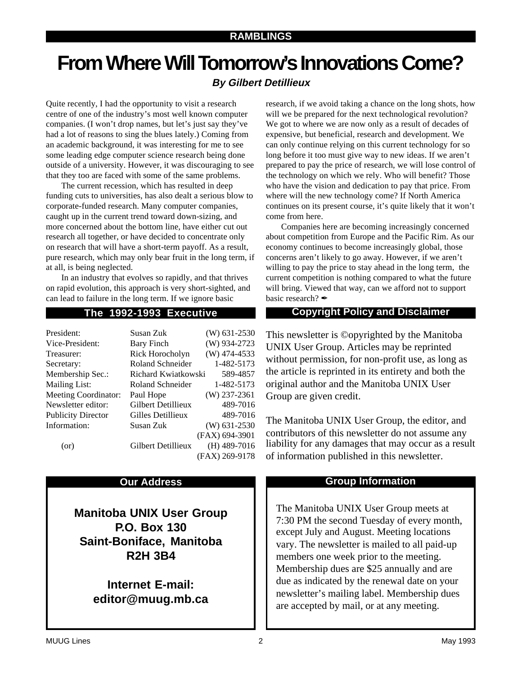# **From Where Will Tomorrow's Innovations Come?**

# **By Gilbert Detillieux**

Quite recently, I had the opportunity to visit a research centre of one of the industry's most well known computer companies. (I won't drop names, but let's just say they've had a lot of reasons to sing the blues lately.) Coming from an academic background, it was interesting for me to see some leading edge computer science research being done outside of a university. However, it was discouraging to see that they too are faced with some of the same problems.

The current recession, which has resulted in deep funding cuts to universities, has also dealt a serious blow to corporate-funded research. Many computer companies, caught up in the current trend toward down-sizing, and more concerned about the bottom line, have either cut out research all together, or have decided to concentrate only on research that will have a short-term payoff. As a result, pure research, which may only bear fruit in the long term, if at all, is being neglected.

In an industry that evolves so rapidly, and that thrives on rapid evolution, this approach is very short-sighted, and can lead to failure in the long term. If we ignore basic

| President:                  | Susan Zuk           | $(W)$ 631-2530 |
|-----------------------------|---------------------|----------------|
| Vice-President:             | Bary Finch          | (W) 934-2723   |
| Treasurer:                  | Rick Horocholyn     | $(W)$ 474-4533 |
| Secretary:                  | Roland Schneider    | 1-482-5173     |
| Membership Sec.:            | Richard Kwiatkowski | 589-4857       |
| <b>Mailing List:</b>        | Roland Schneider    | 1-482-5173     |
| <b>Meeting Coordinator:</b> | Paul Hope           | $(W)$ 237-2361 |
| Newsletter editor:          | Gilbert Detillieux  | 489-7016       |
| <b>Publicity Director</b>   | Gilles Detillieux   | 489-7016       |
| Information:                | Susan Zuk           | $(W)$ 631-2530 |
|                             |                     | (FAX) 694-3901 |
| (or)                        | Gilbert Detillieux  | $(H)$ 489-7016 |
|                             |                     | (FAX) 269-9178 |

**Manitoba UNIX User Group P.O. Box 130 Saint-Boniface, Manitoba R2H 3B4**

> **Internet E-mail: editor@muug.mb.ca**

research, if we avoid taking a chance on the long shots, how will we be prepared for the next technological revolution? We got to where we are now only as a result of decades of expensive, but beneficial, research and development. We can only continue relying on this current technology for so long before it too must give way to new ideas. If we aren't prepared to pay the price of research, we will lose control of the technology on which we rely. Who will benefit? Those who have the vision and dedication to pay that price. From where will the new technology come? If North America continues on its present course, it's quite likely that it won't come from here.

Companies here are becoming increasingly concerned about competition from Europe and the Pacific Rim. As our economy continues to become increasingly global, those concerns aren't likely to go away. However, if we aren't willing to pay the price to stay ahead in the long term, the current competition is nothing compared to what the future will bring. Viewed that way, can we afford not to support basic research?  $\blacktriangle$ 

## **The 1992-1993 Executive Copyright Policy and Disclaimer**

This newsletter is ©opyrighted by the Manitoba UNIX User Group. Articles may be reprinted without permission, for non-profit use, as long as the article is reprinted in its entirety and both the original author and the Manitoba UNIX User Group are given credit.

The Manitoba UNIX User Group, the editor, and contributors of this newsletter do not assume any liability for any damages that may occur as a result of information published in this newsletter.

### **Our Address Community Community Community Community Community Community Community Community Community Community Community Community Community Community Community Community Community Community Community Community Community**

The Manitoba UNIX User Group meets at 7:30 PM the second Tuesday of every month, except July and August. Meeting locations vary. The newsletter is mailed to all paid-up members one week prior to the meeting. Membership dues are \$25 annually and are due as indicated by the renewal date on your newsletter's mailing label. Membership dues are accepted by mail, or at any meeting.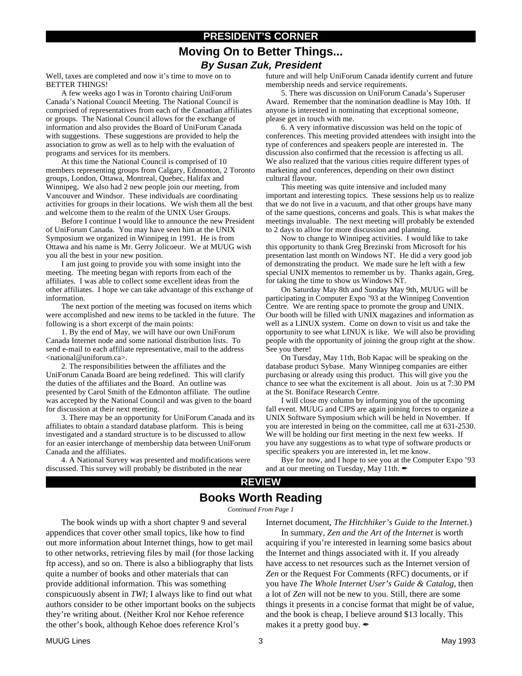# **PRESIDENT'S CORNER Moving On to Better Things... By Susan Zuk, President**

Well, taxes are completed and now it's time to move on to BETTER THINGS!

A few weeks ago I was in Toronto chairing UniForum Canada's National Council Meeting. The National Council is comprised of representatives from each of the Canadian affiliates or groups. The National Council allows for the exchange of information and also provides the Board of UniForum Canada with suggestions. These suggestions are provided to help the association to grow as well as to help with the evaluation of programs and services for its members.

At this time the National Council is comprised of 10 members representing groups from Calgary, Edmonton, 2 Toronto groups, London, Ottawa, Montreal, Quebec, Halifax and Winnipeg. We also had 2 new people join our meeting, from Vancouver and Windsor. These individuals are coordinating activities for groups in their locations. We wish them all the best and welcome them to the realm of the UNIX User Groups.

Before I continue I would like to announce the new President of UniForum Canada. You may have seen him at the UNIX Symposium we organized in Winnipeg in 1991. He is from Ottawa and his name is Mr. Gerry Jolicoeur. We at MUUG wish you all the best in your new position.

I am just going to provide you with some insight into the meeting. The meeting began with reports from each of the affiliates. I was able to collect some excellent ideas from the other affiliates. I hope we can take advantage of this exchange of information.

The next portion of the meeting was focused on items which were accomplished and new items to be tackled in the future. The following is a short excerpt of the main points:

1. By the end of May, we will have our own UniForum Canada Internet node and some national distribution lists. To send e-mail to each affiliate representative, mail to the address <national@uniforum.ca>.

2. The responsibilities between the affiliates and the UniForum Canada Board are being redefined. This will clarify the duties of the affiliates and the Board. An outline was presented by Carol Smith of the Edmonton affiliate. The outline was accepted by the National Council and was given to the board for discussion at their next meeting.

3. There may be an opportunity for UniForum Canada and its affiliates to obtain a standard database platform. This is being investigated and a standard structure is to be discussed to allow for an easier interchange of membership data between UniForum Canada and the affiliates.

4. A National Survey was presented and modifications were discussed. This survey will probably be distributed in the near

future and will help UniForum Canada identify current and future membership needs and service requirements.

5. There was discussion on UniForum Canada's Superuser Award. Remember that the nomination deadline is May 10th. If anyone is interested in nominating that exceptional someone, please get in touch with me.

6. A very informative discussion was held on the topic of conferences. This meeting provided attendees with insight into the type of conferences and speakers people are interested in. The discussion also confirmed that the recession is affecting us all. We also realized that the various cities require different types of marketing and conferences, depending on their own distinct cultural flavour.

This meeting was quite intensive and included many important and interesting topics. These sessions help us to realize that we do not live in a vacuum, and that other groups have many of the same questions, concerns and goals. This is what makes the meetings invaluable. The next meeting will probably be extended to 2 days to allow for more discussion and planning.

Now to change to Winnipeg activities. I would like to take this opportunity to thank Greg Brezinski from Microsoft for his presentation last month on Windows NT. He did a very good job of demonstrating the product. We made sure he left with a few special UNIX mementos to remember us by. Thanks again, Greg, for taking the time to show us Windows NT.

On Saturday May 8th and Sunday May 9th, MUUG will be participating in Computer Expo '93 at the Winnipeg Convention Centre. We are renting space to promote the group and UNIX. Our booth will be filled with UNIX magazines and information as well as a LINUX system. Come on down to visit us and take the opportunity to see what LINUX is like. We will also be providing people with the opportunity of joining the group right at the show. See you there!

On Tuesday, May 11th, Bob Kapac will be speaking on the database product Sybase. Many Winnipeg companies are either purchasing or already using this product. This will give you the chance to see what the excitement is all about. Join us at 7:30 PM at the St. Boniface Research Centre.

I will close my column by informing you of the upcoming fall event. MUUG and CIPS are again joining forces to organize a UNIX Software Symposium which will be held in November. If you are interested in being on the committee, call me at 631-2530. We will be holding our first meeting in the next few weeks. If you have any suggestions as to what type of software products or specific speakers you are interested in, let me know.

Bye for now, and I hope to see you at the Computer Expo '93 and at our meeting on Tuesday, May 11th.

### **REVIEW**

# **Books Worth Reading**

*Continued From Page 1*

The book winds up with a short chapter 9 and several appendices that cover other small topics, like how to find out more information about Internet things, how to get mail to other networks, retrieving files by mail (for those lacking ftp access), and so on. There is also a bibliography that lists quite a number of books and other materials that can provide additional information. This was something conspicuously absent in *TWI*; I always like to find out what authors consider to be other important books on the subjects they're writing about. (Neither Krol nor Kehoe reference the other's book, although Kehoe does reference Krol's

Internet document, *The Hitchhiker's Guide to the Internet*.)

In summary, *Zen and the Art of the Internet* is worth acquiring if you're interested in learning some basics about the Internet and things associated with it. If you already have access to net resources such as the Internet version of *Zen* or the Request For Comments (RFC) documents, or if you have *The Whole Internet User's Guide & Catalog*, then a lot of *Zen* will not be new to you. Still, there are some things it presents in a concise format that might be of value, and the book is cheap, I believe around \$13 locally. This makes it a pretty good buy.  $\mathscr I$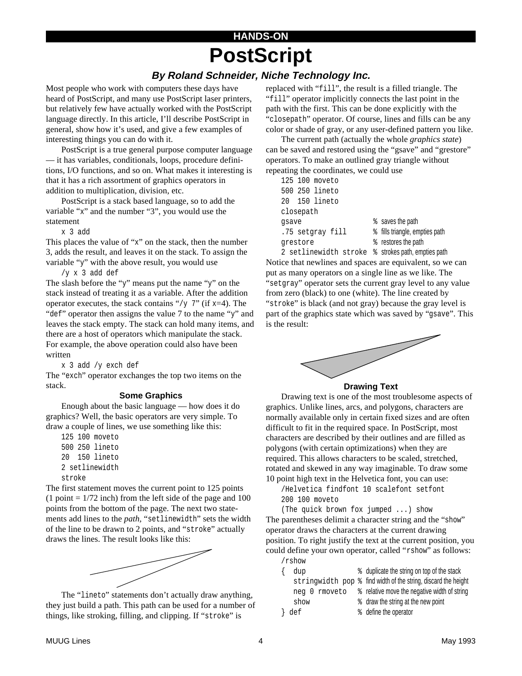# **HANDS-ON PostScript**

## **By Roland Schneider, Niche Technology Inc.**

Most people who work with computers these days have heard of PostScript, and many use PostScript laser printers, but relatively few have actually worked with the PostScript language directly. In this article, I'll describe PostScript in general, show how it's used, and give a few examples of interesting things you can do with it.

PostScript is a true general purpose computer language — it has variables, conditionals, loops, procedure definitions, I/O functions, and so on. What makes it interesting is that it has a rich assortment of graphics operators in addition to multiplication, division, etc.

PostScript is a stack based language, so to add the variable "x" and the number "3", you would use the statement

x 3 add

This places the value of "x" on the stack, then the number 3, adds the result, and leaves it on the stack. To assign the variable "y" with the above result, you would use

/y x 3 add def

The slash before the "y" means put the name "y" on the stack instead of treating it as a variable. After the addition operator executes, the stack contains "/y  $7$ " (if x=4). The "def" operator then assigns the value 7 to the name "y" and leaves the stack empty. The stack can hold many items, and there are a host of operators which manipulate the stack.

For example, the above operation could also have been written

x 3 add /y exch def

The "exch" operator exchanges the top two items on the stack.

#### **Some Graphics**

Enough about the basic language — how does it do graphics? Well, the basic operators are very simple. To draw a couple of lines, we use something like this:

125 100 moveto 500 250 lineto 20 150 lineto 2 setlinewidth stroke

The first statement moves the current point to 125 points  $(1$  point =  $1/72$  inch) from the left side of the page and 100 points from the bottom of the page. The next two statements add lines to the *path,* "setlinewidth" sets the width of the line to be drawn to 2 points, and "stroke" actually draws the lines. The result looks like this:



The "lineto" statements don't actually draw anything, they just build a path. This path can be used for a number of things, like stroking, filling, and clipping. If "stroke" is

replaced with "fill", the result is a filled triangle. The "fill" operator implicitly connects the last point in the path with the first. This can be done explicitly with the "closepath" operator. Of course, lines and fills can be any color or shade of gray, or any user-defined pattern you like.

The current path (actually the whole *graphics state*) can be saved and restored using the "gsave" and "grestore" operators. To make an outlined gray triangle without repeating the coordinates, we could use

|          |           | 125 100 moveto                 |  |                                |  |  |
|----------|-----------|--------------------------------|--|--------------------------------|--|--|
|          |           | 500 250 lineto                 |  |                                |  |  |
|          |           | 20 150 lineto                  |  |                                |  |  |
|          | closepath |                                |  |                                |  |  |
| gsave    |           |                                |  | % saves the path               |  |  |
|          |           | .75 setgray fill               |  | % fills triangle, empties path |  |  |
| grestore |           |                                |  | % restores the path            |  |  |
|          |           | $2 \times 1 \times 1 \times 1$ |  | e ctrokes nath empties nat     |  |  |

2 setlinewidth stroke % strokes path, empties path Notice that newlines and spaces are equivalent, so we can put as many operators on a single line as we like. The "setgray" operator sets the current gray level to any value from zero (black) to one (white). The line created by "stroke" is black (and not gray) because the gray level is part of the graphics state which was saved by "gsave". This is the result:



#### **Drawing Text**

Drawing text is one of the most troublesome aspects of graphics. Unlike lines, arcs, and polygons, characters are normally available only in certain fixed sizes and are often difficult to fit in the required space. In PostScript, most characters are described by their outlines and are filled as polygons (with certain optimizations) when they are required. This allows characters to be scaled, stretched, rotated and skewed in any way imaginable. To draw some 10 point high text in the Helvetica font, you can use:

/Helvetica findfont 10 scalefont setfont 200 100 moveto

(The quick brown fox jumped ...) show The parentheses delimit a character string and the "show" operator draws the characters at the current drawing position. To right justify the text at the current position, you could define your own operator, called "rshow" as follows: /rshow

|  | dup           | % duplicate the string on top of the stack                     |
|--|---------------|----------------------------------------------------------------|
|  |               | stringwidth pop % find width of the string, discard the height |
|  | neg 0 rmoveto | the relative move the negative width of string                 |
|  | show          | % draw the string at the new point                             |
|  | def           | % define the operator                                          |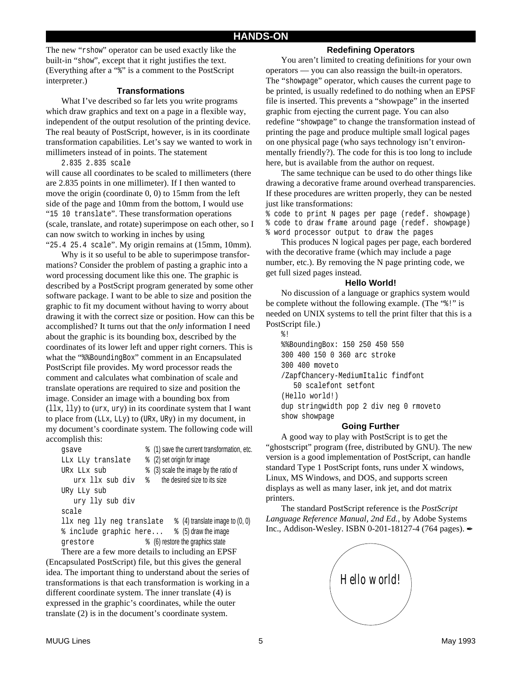The new "rshow" operator can be used exactly like the built-in "show", except that it right justifies the text. (Everything after a "%" is a comment to the PostScript interpreter.)

#### **Transformations**

What I've described so far lets you write programs which draw graphics and text on a page in a flexible way, independent of the output resolution of the printing device. The real beauty of PostScript, however, is in its coordinate transformation capabilities. Let's say we wanted to work in millimeters instead of in points. The statement

2.835 2.835 scale

will cause all coordinates to be scaled to millimeters (there are 2.835 points in one millimeter). If I then wanted to move the origin (coordinate 0, 0) to 15mm from the left side of the page and 10mm from the bottom, I would use "15 10 translate". These transformation operations (scale, translate, and rotate) superimpose on each other, so I can now switch to working in inches by using "25.4 25.4 scale". My origin remains at (15mm, 10mm).

Why is it so useful to be able to superimpose transformations? Consider the problem of pasting a graphic into a word processing document like this one. The graphic is described by a PostScript program generated by some other software package. I want to be able to size and position the graphic to fit my document without having to worry about drawing it with the correct size or position. How can this be accomplished? It turns out that the *only* information I need about the graphic is its bounding box, described by the coordinates of its lower left and upper right corners. This is what the "%%BoundingBox" comment in an Encapsulated PostScript file provides. My word processor reads the comment and calculates what combination of scale and translate operations are required to size and position the image. Consider an image with a bounding box from (llx, lly) to (urx, ury) in its coordinate system that I want to place from (LLx, LLy) to (URx, URy) in my document, in my document's coordinate system. The following code will accomplish this:

| gsave                     | % (1) save the current transformation, etc. |  |
|---------------------------|---------------------------------------------|--|
| LLx LLy translate         | % (2) set origin for image                  |  |
| URX LLX sub               | % (3) scale the image by the ratio of       |  |
| urx llx sub div           | the desired size to its size<br>⊱           |  |
| URy LLy sub               |                                             |  |
| ury lly sub div           |                                             |  |
| scale                     |                                             |  |
| llx neg lly neg translate | $\frac{1}{6}$ (4) translate image to (0, 0) |  |
| % include graphic here    | % (5) draw the image                        |  |
| grestore                  | % (6) restore the graphics state            |  |

There are a few more details to including an EPSF (Encapsulated PostScript) file, but this gives the general idea. The important thing to understand about the series of transformations is that each transformation is working in a different coordinate system. The inner translate (4) is expressed in the graphic's coordinates, while the outer translate (2) is in the document's coordinate system.

### **Redefining Operators**

You aren't limited to creating definitions for your own operators — you can also reassign the built-in operators. The "showpage" operator, which causes the current page to be printed, is usually redefined to do nothing when an EPSF file is inserted. This prevents a "showpage" in the inserted graphic from ejecting the current page. You can also redefine "showpage" to change the transformation instead of printing the page and produce multiple small logical pages on one physical page (who says technology isn't environmentally friendly?). The code for this is too long to include here, but is available from the author on request.

The same technique can be used to do other things like drawing a decorative frame around overhead transparencies. If these procedures are written properly, they can be nested just like transformations:

% code to print N pages per page (redef. showpage) % code to draw frame around page (redef. showpage) % word processor output to draw the pages

This produces N logical pages per page, each bordered with the decorative frame (which may include a page number, etc.). By removing the N page printing code, we get full sized pages instead.

#### **Hello World!**

No discussion of a language or graphics system would be complete without the following example. (The "%!" is needed on UNIX systems to tell the print filter that this is a PostScript file.) %!

%%BoundingBox: 150 250 450 550 300 400 150 0 360 arc stroke 300 400 moveto /ZapfChancery-MediumItalic findfont 50 scalefont setfont (Hello world!) dup stringwidth pop 2 div neg 0 rmoveto show showpage

#### **Going Further**

A good way to play with PostScript is to get the "ghostscript" program (free, distributed by GNU). The new version is a good implementation of PostScript, can handle standard Type 1 PostScript fonts, runs under X windows, Linux, MS Windows, and DOS, and supports screen displays as well as many laser, ink jet, and dot matrix printers.

The standard PostScript reference is the *PostScript Language Reference Manual, 2nd Ed.*, by Adobe Systems Inc., Addison-Wesley. ISBN 0-201-18127-4 (764 pages).

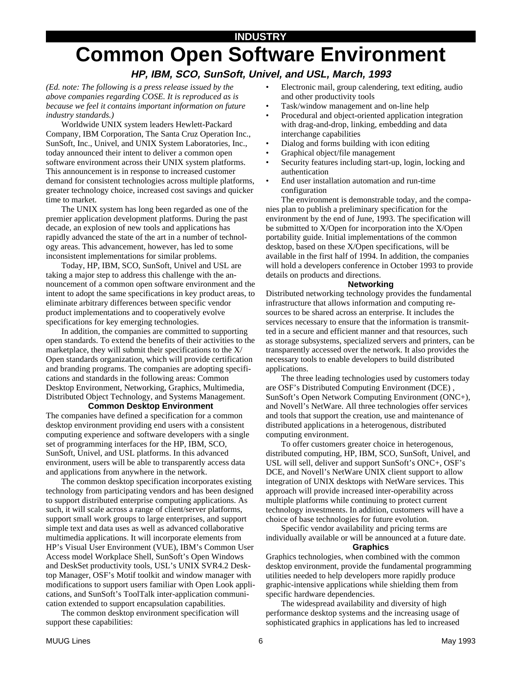# **INDUSTRY Common Open Software Environment**

# **HP, IBM, SCO, SunSoft, Univel, and USL, March, 1993**

*(Ed. note: The following is a press release issued by the above companies regarding COSE. It is reproduced as is because we feel it contains important information on future industry standards.)*

Worldwide UNIX system leaders Hewlett-Packard Company, IBM Corporation, The Santa Cruz Operation Inc., SunSoft, Inc., Univel, and UNIX System Laboratories, Inc., today announced their intent to deliver a common open software environment across their UNIX system platforms. This announcement is in response to increased customer demand for consistent technologies across multiple platforms, greater technology choice, increased cost savings and quicker time to market.

The UNIX system has long been regarded as one of the premier application development platforms. During the past decade, an explosion of new tools and applications has rapidly advanced the state of the art in a number of technology areas. This advancement, however, has led to some inconsistent implementations for similar problems.

Today, HP, IBM, SCO, SunSoft, Univel and USL are taking a major step to address this challenge with the announcement of a common open software environment and the intent to adopt the same specifications in key product areas, to eliminate arbitrary differences between specific vendor product implementations and to cooperatively evolve specifications for key emerging technologies.

In addition, the companies are committed to supporting open standards. To extend the benefits of their activities to the marketplace, they will submit their specifications to the X/ Open standards organization, which will provide certification and branding programs. The companies are adopting specifications and standards in the following areas: Common Desktop Environment, Networking, Graphics, Multimedia, Distributed Object Technology, and Systems Management.

#### **Common Desktop Environment**

The companies have defined a specification for a common desktop environment providing end users with a consistent computing experience and software developers with a single set of programming interfaces for the HP, IBM, SCO, SunSoft, Univel, and USL platforms. In this advanced environment, users will be able to transparently access data and applications from anywhere in the network.

The common desktop specification incorporates existing technology from participating vendors and has been designed to support distributed enterprise computing applications. As such, it will scale across a range of client/server platforms, support small work groups to large enterprises, and support simple text and data uses as well as advanced collaborative multimedia applications. It will incorporate elements from HP's Visual User Environment (VUE), IBM's Common User Access model Workplace Shell, SunSoft's Open Windows and DeskSet productivity tools, USL's UNIX SVR4.2 Desktop Manager, OSF's Motif toolkit and window manager with modifications to support users familiar with Open Look applications, and SunSoft's ToolTalk inter-application communication extended to support encapsulation capabilities.

The common desktop environment specification will support these capabilities:

- Electronic mail, group calendering, text editing, audio and other productivity tools
- Task/window management and on-line help
- Procedural and object-oriented application integration with drag-and-drop, linking, embedding and data interchange capabilities
- Dialog and forms building with icon editing
- Graphical object/file management
- Security features including start-up, login, locking and authentication
- End user installation automation and run-time configuration

The environment is demonstrable today, and the companies plan to publish a preliminary specification for the environment by the end of June, 1993. The specification will be submitted to X/Open for incorporation into the X/Open portability guide. Initial implementations of the common desktop, based on these X/Open specifications, will be available in the first half of 1994. In addition, the companies will hold a developers conference in October 1993 to provide details on products and directions.

#### **Networking**

Distributed networking technology provides the fundamental infrastructure that allows information and computing resources to be shared across an enterprise. It includes the services necessary to ensure that the information is transmitted in a secure and efficient manner and that resources, such as storage subsystems, specialized servers and printers, can be transparently accessed over the network. It also provides the necessary tools to enable developers to build distributed applications.

The three leading technologies used by customers today are OSF's Distributed Computing Environment (DCE) , SunSoft's Open Network Computing Environment (ONC+), and Novell's NetWare. All three technologies offer services and tools that support the creation, use and maintenance of distributed applications in a heterogenous, distributed computing environment.

To offer customers greater choice in heterogenous, distributed computing, HP, IBM, SCO, SunSoft, Univel, and USL will sell, deliver and support SunSoft's ONC+, OSF's DCE, and Novell's NetWare UNIX client support to allow integration of UNIX desktops with NetWare services. This approach will provide increased inter-operability across multiple platforms while continuing to protect current technology investments. In addition, customers will have a choice of base technologies for future evolution.

Specific vendor availability and pricing terms are individually available or will be announced at a future date.

#### **Graphics**

Graphics technologies, when combined with the common desktop environment, provide the fundamental programming utilities needed to help developers more rapidly produce graphic-intensive applications while shielding them from specific hardware dependencies.

The widespread availability and diversity of high performance desktop systems and the increasing usage of sophisticated graphics in applications has led to increased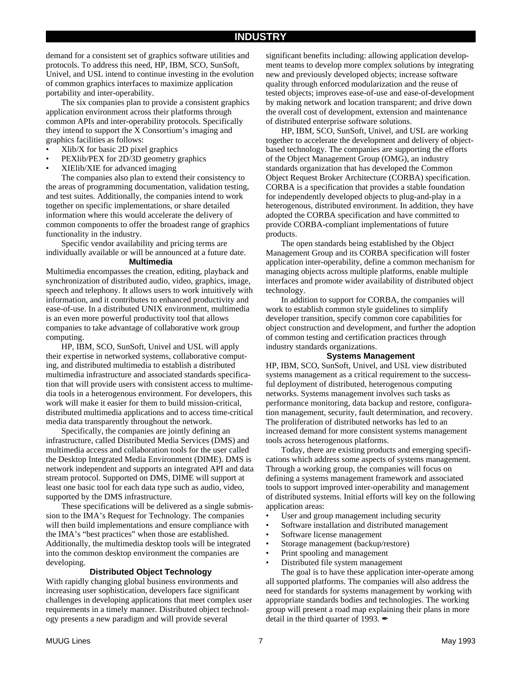demand for a consistent set of graphics software utilities and protocols. To address this need, HP, IBM, SCO, SunSoft, Univel, and USL intend to continue investing in the evolution of common graphics interfaces to maximize application portability and inter-operability.

The six companies plan to provide a consistent graphics application environment across their platforms through common APIs and inter-operability protocols. Specifically they intend to support the X Consortium's imaging and graphics facilities as follows:

- Xlib/X for basic 2D pixel graphics
- PEXlib/PEX for 2D/3D geometry graphics
- XIElib/XIE for advanced imaging

The companies also plan to extend their consistency to the areas of programming documentation, validation testing, and test suites. Additionally, the companies intend to work together on specific implementations, or share detailed information where this would accelerate the delivery of common components to offer the broadest range of graphics functionality in the industry.

Specific vendor availability and pricing terms are individually available or will be announced at a future date.

#### **Multimedia**

Multimedia encompasses the creation, editing, playback and synchronization of distributed audio, video, graphics, image, speech and telephony. It allows users to work intuitively with information, and it contributes to enhanced productivity and ease-of-use. In a distributed UNIX environment, multimedia is an even more powerful productivity tool that allows companies to take advantage of collaborative work group computing.

HP, IBM, SCO, SunSoft, Univel and USL will apply their expertise in networked systems, collaborative computing, and distributed multimedia to establish a distributed multimedia infrastructure and associated standards specification that will provide users with consistent access to multimedia tools in a heterogenous environment. For developers, this work will make it easier for them to build mission-critical, distributed multimedia applications and to access time-critical media data transparently throughout the network.

Specifically, the companies are jointly defining an infrastructure, called Distributed Media Services (DMS) and multimedia access and collaboration tools for the user called the Desktop Integrated Media Environment (DIME). DMS is network independent and supports an integrated API and data stream protocol. Supported on DMS, DIME will support at least one basic tool for each data type such as audio, video, supported by the DMS infrastructure.

These specifications will be delivered as a single submission to the IMA's Request for Technology. The companies will then build implementations and ensure compliance with the IMA's "best practices" when those are established. Additionally, the multimedia desktop tools will be integrated into the common desktop environment the companies are developing.

#### **Distributed Object Technology**

With rapidly changing global business environments and increasing user sophistication, developers face significant challenges in developing applications that meet complex user requirements in a timely manner. Distributed object technology presents a new paradigm and will provide several

significant benefits including: allowing application development teams to develop more complex solutions by integrating new and previously developed objects; increase software quality through enforced modularization and the reuse of tested objects; improves ease-of-use and ease-of-development by making network and location transparent; and drive down the overall cost of development, extension and maintenance of distributed enterprise software solutions.

HP, IBM, SCO, SunSoft, Univel, and USL are working together to accelerate the development and delivery of objectbased technology. The companies are supporting the efforts of the Object Management Group (OMG), an industry standards organization that has developed the Common Object Request Broker Architecture (CORBA) specification. CORBA is a specification that provides a stable foundation for independently developed objects to plug-and-play in a heterogenous, distributed environment. In addition, they have adopted the CORBA specification and have committed to provide CORBA-compliant implementations of future products.

The open standards being established by the Object Management Group and its CORBA specification will foster application inter-operability, define a common mechanism for managing objects across multiple platforms, enable multiple interfaces and promote wider availability of distributed object technology.

In addition to support for CORBA, the companies will work to establish common style guidelines to simplify developer transition, specify common core capabilities for object construction and development, and further the adoption of common testing and certification practices through industry standards organizations.

#### **Systems Management**

HP, IBM, SCO, SunSoft, Univel, and USL view distributed systems management as a critical requirement to the successful deployment of distributed, heterogenous computing networks. Systems management involves such tasks as performance monitoring, data backup and restore, configuration management, security, fault determination, and recovery. The proliferation of distributed networks has led to an increased demand for more consistent systems management tools across heterogenous platforms.

Today, there are existing products and emerging specifications which address some aspects of systems management. Through a working group, the companies will focus on defining a systems management framework and associated tools to support improved inter-operability and management of distributed systems. Initial efforts will key on the following application areas:

- User and group management including security
- Software installation and distributed management
- Software license management
- Storage management (backup/restore)
- Print spooling and management
- Distributed file system management

The goal is to have these application inter-operate among all supported platforms. The companies will also address the need for standards for systems management by working with appropriate standards bodies and technologies. The working group will present a road map explaining their plans in more detail in the third quarter of 1993.  $\blacktriangle$